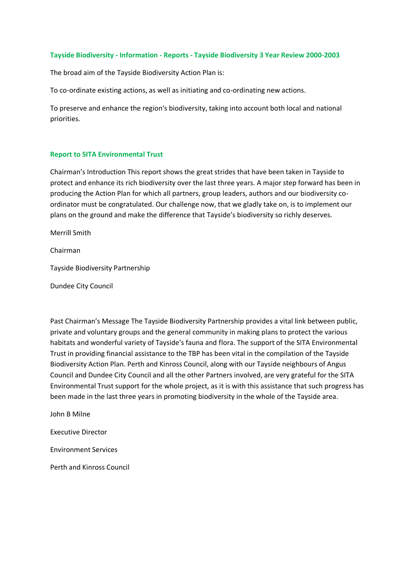#### **Tayside Biodiversity - Information - Reports - Tayside Biodiversity 3 Year Review 2000-2003**

The broad aim of the Tayside Biodiversity Action Plan is:

To co-ordinate existing actions, as well as initiating and co-ordinating new actions.

To preserve and enhance the region's biodiversity, taking into account both local and national priorities.

#### **Report to SITA Environmental Trust**

Chairman's Introduction This report shows the great strides that have been taken in Tayside to protect and enhance its rich biodiversity over the last three years. A major step forward has been in producing the Action Plan for which all partners, group leaders, authors and our biodiversity coordinator must be congratulated. Our challenge now, that we gladly take on, is to implement our plans on the ground and make the difference that Tayside's biodiversity so richly deserves.

Merrill Smith

Chairman

Tayside Biodiversity Partnership

Dundee City Council

Past Chairman's Message The Tayside Biodiversity Partnership provides a vital link between public, private and voluntary groups and the general community in making plans to protect the various habitats and wonderful variety of Tayside's fauna and flora. The support of the SITA Environmental Trust in providing financial assistance to the TBP has been vital in the compilation of the Tayside Biodiversity Action Plan. Perth and Kinross Council, along with our Tayside neighbours of Angus Council and Dundee City Council and all the other Partners involved, are very grateful for the SITA Environmental Trust support for the whole project, as it is with this assistance that such progress has been made in the last three years in promoting biodiversity in the whole of the Tayside area.

John B Milne

Executive Director

Environment Services

Perth and Kinross Council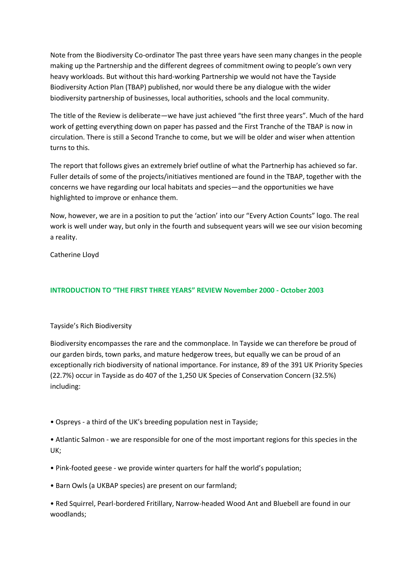Note from the Biodiversity Co-ordinator The past three years have seen many changes in the people making up the Partnership and the different degrees of commitment owing to people's own very heavy workloads. But without this hard-working Partnership we would not have the Tayside Biodiversity Action Plan (TBAP) published, nor would there be any dialogue with the wider biodiversity partnership of businesses, local authorities, schools and the local community.

The title of the Review is deliberate—we have just achieved "the first three years". Much of the hard work of getting everything down on paper has passed and the First Tranche of the TBAP is now in circulation. There is still a Second Tranche to come, but we will be older and wiser when attention turns to this.

The report that follows gives an extremely brief outline of what the Partnerhip has achieved so far. Fuller details of some of the projects/initiatives mentioned are found in the TBAP, together with the concerns we have regarding our local habitats and species—and the opportunities we have highlighted to improve or enhance them.

Now, however, we are in a position to put the 'action' into our "Every Action Counts" logo. The real work is well under way, but only in the fourth and subsequent years will we see our vision becoming a reality.

Catherine Lloyd

# **INTRODUCTION TO "THE FIRST THREE YEARS" REVIEW November 2000 - October 2003**

# Tayside's Rich Biodiversity

Biodiversity encompasses the rare and the commonplace. In Tayside we can therefore be proud of our garden birds, town parks, and mature hedgerow trees, but equally we can be proud of an exceptionally rich biodiversity of national importance. For instance, 89 of the 391 UK Priority Species (22.7%) occur in Tayside as do 407 of the 1,250 UK Species of Conservation Concern (32.5%) including:

• Ospreys - a third of the UK's breeding population nest in Tayside;

• Atlantic Salmon - we are responsible for one of the most important regions for this species in the UK;

• Pink-footed geese - we provide winter quarters for half the world's population;

• Barn Owls (a UKBAP species) are present on our farmland;

• Red Squirrel, Pearl-bordered Fritillary, Narrow-headed Wood Ant and Bluebell are found in our woodlands;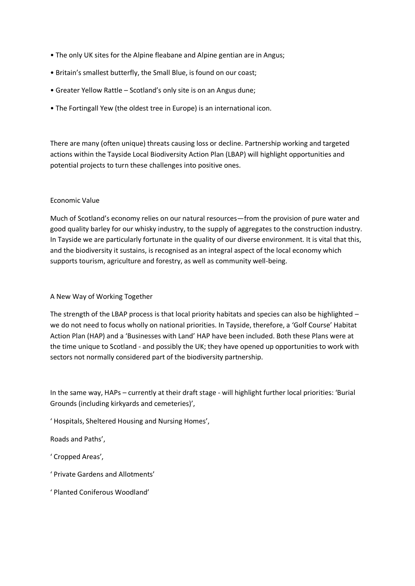- The only UK sites for the Alpine fleabane and Alpine gentian are in Angus;
- Britain's smallest butterfly, the Small Blue, is found on our coast;
- Greater Yellow Rattle Scotland's only site is on an Angus dune;
- The Fortingall Yew (the oldest tree in Europe) is an international icon.

There are many (often unique) threats causing loss or decline. Partnership working and targeted actions within the Tayside Local Biodiversity Action Plan (LBAP) will highlight opportunities and potential projects to turn these challenges into positive ones.

# Economic Value

Much of Scotland's economy relies on our natural resources—from the provision of pure water and good quality barley for our whisky industry, to the supply of aggregates to the construction industry. In Tayside we are particularly fortunate in the quality of our diverse environment. It is vital that this, and the biodiversity it sustains, is recognised as an integral aspect of the local economy which supports tourism, agriculture and forestry, as well as community well-being.

# A New Way of Working Together

The strength of the LBAP process is that local priority habitats and species can also be highlighted – we do not need to focus wholly on national priorities. In Tayside, therefore, a 'Golf Course' Habitat Action Plan (HAP) and a 'Businesses with Land' HAP have been included. Both these Plans were at the time unique to Scotland - and possibly the UK; they have opened up opportunities to work with sectors not normally considered part of the biodiversity partnership.

In the same way, HAPs – currently at their draft stage - will highlight further local priorities: 'Burial Grounds (including kirkyards and cemeteries)',

' Hospitals, Sheltered Housing and Nursing Homes',

Roads and Paths',

' Cropped Areas',

- ' Private Gardens and Allotments'
- ' Planted Coniferous Woodland'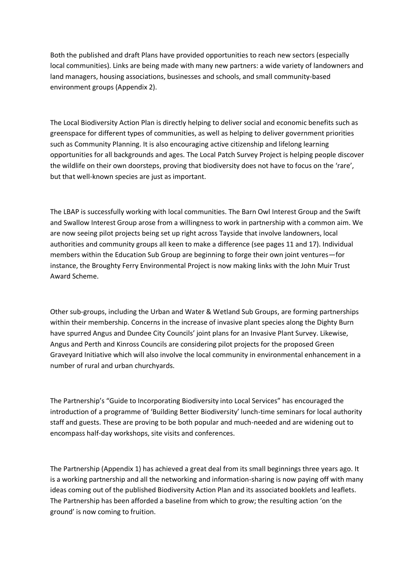Both the published and draft Plans have provided opportunities to reach new sectors (especially local communities). Links are being made with many new partners: a wide variety of landowners and land managers, housing associations, businesses and schools, and small community-based environment groups (Appendix 2).

The Local Biodiversity Action Plan is directly helping to deliver social and economic benefits such as greenspace for different types of communities, as well as helping to deliver government priorities such as Community Planning. It is also encouraging active citizenship and lifelong learning opportunities for all backgrounds and ages. The Local Patch Survey Project is helping people discover the wildlife on their own doorsteps, proving that biodiversity does not have to focus on the 'rare', but that well-known species are just as important.

The LBAP is successfully working with local communities. The Barn Owl Interest Group and the Swift and Swallow Interest Group arose from a willingness to work in partnership with a common aim. We are now seeing pilot projects being set up right across Tayside that involve landowners, local authorities and community groups all keen to make a difference (see pages 11 and 17). Individual members within the Education Sub Group are beginning to forge their own joint ventures—for instance, the Broughty Ferry Environmental Project is now making links with the John Muir Trust Award Scheme.

Other sub-groups, including the Urban and Water & Wetland Sub Groups, are forming partnerships within their membership. Concerns in the increase of invasive plant species along the Dighty Burn have spurred Angus and Dundee City Councils' joint plans for an Invasive Plant Survey. Likewise, Angus and Perth and Kinross Councils are considering pilot projects for the proposed Green Graveyard Initiative which will also involve the local community in environmental enhancement in a number of rural and urban churchyards.

The Partnership's "Guide to Incorporating Biodiversity into Local Services" has encouraged the introduction of a programme of 'Building Better Biodiversity' lunch-time seminars for local authority staff and guests. These are proving to be both popular and much-needed and are widening out to encompass half-day workshops, site visits and conferences.

The Partnership (Appendix 1) has achieved a great deal from its small beginnings three years ago. It is a working partnership and all the networking and information-sharing is now paying off with many ideas coming out of the published Biodiversity Action Plan and its associated booklets and leaflets. The Partnership has been afforded a baseline from which to grow; the resulting action 'on the ground' is now coming to fruition.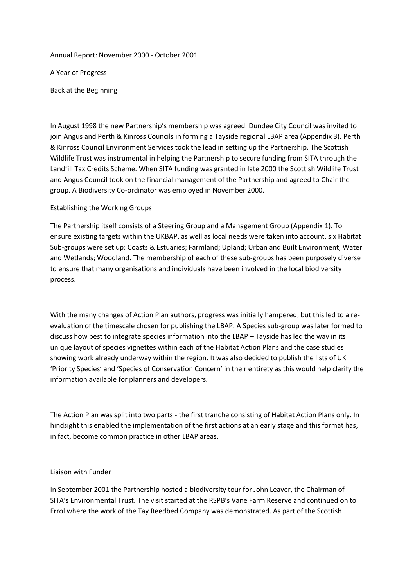Annual Report: November 2000 - October 2001

A Year of Progress

Back at the Beginning

In August 1998 the new Partnership's membership was agreed. Dundee City Council was invited to join Angus and Perth & Kinross Councils in forming a Tayside regional LBAP area (Appendix 3). Perth & Kinross Council Environment Services took the lead in setting up the Partnership. The Scottish Wildlife Trust was instrumental in helping the Partnership to secure funding from SITA through the Landfill Tax Credits Scheme. When SITA funding was granted in late 2000 the Scottish Wildlife Trust and Angus Council took on the financial management of the Partnership and agreed to Chair the group. A Biodiversity Co-ordinator was employed in November 2000.

# Establishing the Working Groups

The Partnership itself consists of a Steering Group and a Management Group (Appendix 1). To ensure existing targets within the UKBAP, as well as local needs were taken into account, six Habitat Sub-groups were set up: Coasts & Estuaries; Farmland; Upland; Urban and Built Environment; Water and Wetlands; Woodland. The membership of each of these sub-groups has been purposely diverse to ensure that many organisations and individuals have been involved in the local biodiversity process.

With the many changes of Action Plan authors, progress was initially hampered, but this led to a reevaluation of the timescale chosen for publishing the LBAP. A Species sub-group was later formed to discuss how best to integrate species information into the LBAP – Tayside has led the way in its unique layout of species vignettes within each of the Habitat Action Plans and the case studies showing work already underway within the region. It was also decided to publish the lists of UK 'Priority Species' and 'Species of Conservation Concern' in their entirety as this would help clarify the information available for planners and developers.

The Action Plan was split into two parts - the first tranche consisting of Habitat Action Plans only. In hindsight this enabled the implementation of the first actions at an early stage and this format has, in fact, become common practice in other LBAP areas.

# Liaison with Funder

In September 2001 the Partnership hosted a biodiversity tour for John Leaver, the Chairman of SITA's Environmental Trust. The visit started at the RSPB's Vane Farm Reserve and continued on to Errol where the work of the Tay Reedbed Company was demonstrated. As part of the Scottish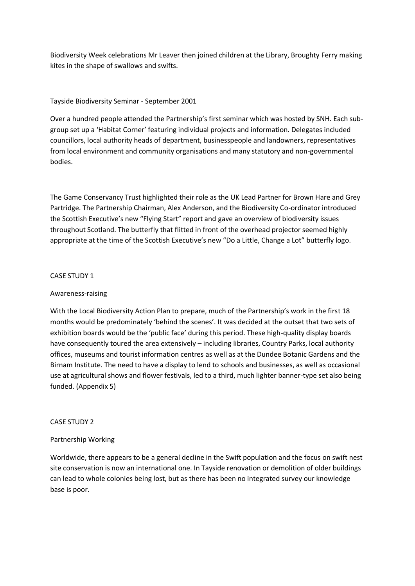Biodiversity Week celebrations Mr Leaver then joined children at the Library, Broughty Ferry making kites in the shape of swallows and swifts.

# Tayside Biodiversity Seminar - September 2001

Over a hundred people attended the Partnership's first seminar which was hosted by SNH. Each subgroup set up a 'Habitat Corner' featuring individual projects and information. Delegates included councillors, local authority heads of department, businesspeople and landowners, representatives from local environment and community organisations and many statutory and non-governmental bodies.

The Game Conservancy Trust highlighted their role as the UK Lead Partner for Brown Hare and Grey Partridge. The Partnership Chairman, Alex Anderson, and the Biodiversity Co-ordinator introduced the Scottish Executive's new "Flying Start" report and gave an overview of biodiversity issues throughout Scotland. The butterfly that flitted in front of the overhead projector seemed highly appropriate at the time of the Scottish Executive's new "Do a Little, Change a Lot" butterfly logo.

# CASE STUDY 1

# Awareness-raising

With the Local Biodiversity Action Plan to prepare, much of the Partnership's work in the first 18 months would be predominately 'behind the scenes'. It was decided at the outset that two sets of exhibition boards would be the 'public face' during this period. These high-quality display boards have consequently toured the area extensively – including libraries, Country Parks, local authority offices, museums and tourist information centres as well as at the Dundee Botanic Gardens and the Birnam Institute. The need to have a display to lend to schools and businesses, as well as occasional use at agricultural shows and flower festivals, led to a third, much lighter banner-type set also being funded. (Appendix 5)

# CASE STUDY 2

# Partnership Working

Worldwide, there appears to be a general decline in the Swift population and the focus on swift nest site conservation is now an international one. In Tayside renovation or demolition of older buildings can lead to whole colonies being lost, but as there has been no integrated survey our knowledge base is poor.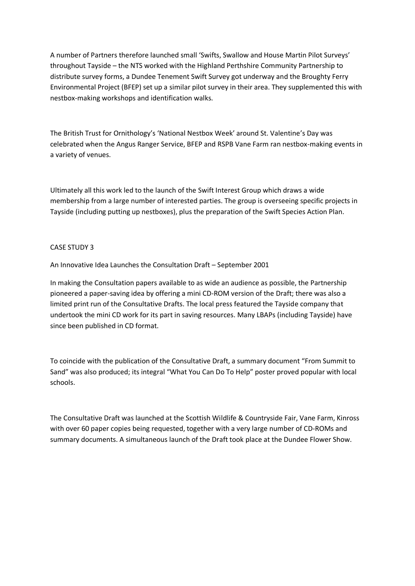A number of Partners therefore launched small 'Swifts, Swallow and House Martin Pilot Surveys' throughout Tayside – the NTS worked with the Highland Perthshire Community Partnership to distribute survey forms, a Dundee Tenement Swift Survey got underway and the Broughty Ferry Environmental Project (BFEP) set up a similar pilot survey in their area. They supplemented this with nestbox-making workshops and identification walks.

The British Trust for Ornithology's 'National Nestbox Week' around St. Valentine's Day was celebrated when the Angus Ranger Service, BFEP and RSPB Vane Farm ran nestbox-making events in a variety of venues.

Ultimately all this work led to the launch of the Swift Interest Group which draws a wide membership from a large number of interested parties. The group is overseeing specific projects in Tayside (including putting up nestboxes), plus the preparation of the Swift Species Action Plan.

# CASE STUDY 3

An Innovative Idea Launches the Consultation Draft – September 2001

In making the Consultation papers available to as wide an audience as possible, the Partnership pioneered a paper-saving idea by offering a mini CD-ROM version of the Draft; there was also a limited print run of the Consultative Drafts. The local press featured the Tayside company that undertook the mini CD work for its part in saving resources. Many LBAPs (including Tayside) have since been published in CD format.

To coincide with the publication of the Consultative Draft, a summary document "From Summit to Sand" was also produced; its integral "What You Can Do To Help" poster proved popular with local schools.

The Consultative Draft was launched at the Scottish Wildlife & Countryside Fair, Vane Farm, Kinross with over 60 paper copies being requested, together with a very large number of CD-ROMs and summary documents. A simultaneous launch of the Draft took place at the Dundee Flower Show.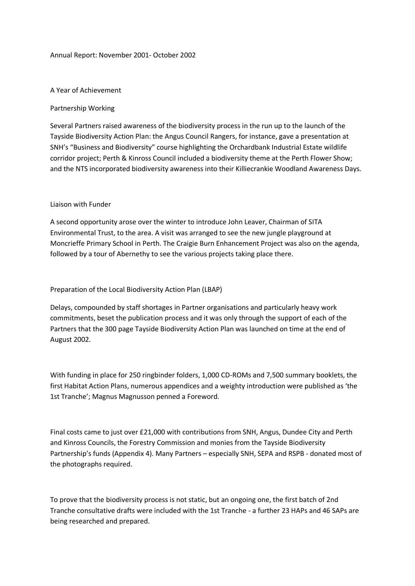#### Annual Report: November 2001- October 2002

### A Year of Achievement

# Partnership Working

Several Partners raised awareness of the biodiversity process in the run up to the launch of the Tayside Biodiversity Action Plan: the Angus Council Rangers, for instance, gave a presentation at SNH's "Business and Biodiversity" course highlighting the Orchardbank Industrial Estate wildlife corridor project; Perth & Kinross Council included a biodiversity theme at the Perth Flower Show; and the NTS incorporated biodiversity awareness into their Killiecrankie Woodland Awareness Days.

#### Liaison with Funder

A second opportunity arose over the winter to introduce John Leaver, Chairman of SITA Environmental Trust, to the area. A visit was arranged to see the new jungle playground at Moncrieffe Primary School in Perth. The Craigie Burn Enhancement Project was also on the agenda, followed by a tour of Abernethy to see the various projects taking place there.

### Preparation of the Local Biodiversity Action Plan (LBAP)

Delays, compounded by staff shortages in Partner organisations and particularly heavy work commitments, beset the publication process and it was only through the support of each of the Partners that the 300 page Tayside Biodiversity Action Plan was launched on time at the end of August 2002.

With funding in place for 250 ringbinder folders, 1,000 CD-ROMs and 7,500 summary booklets, the first Habitat Action Plans, numerous appendices and a weighty introduction were published as 'the 1st Tranche'; Magnus Magnusson penned a Foreword.

Final costs came to just over £21,000 with contributions from SNH, Angus, Dundee City and Perth and Kinross Councils, the Forestry Commission and monies from the Tayside Biodiversity Partnership's funds (Appendix 4). Many Partners – especially SNH, SEPA and RSPB - donated most of the photographs required.

To prove that the biodiversity process is not static, but an ongoing one, the first batch of 2nd Tranche consultative drafts were included with the 1st Tranche - a further 23 HAPs and 46 SAPs are being researched and prepared.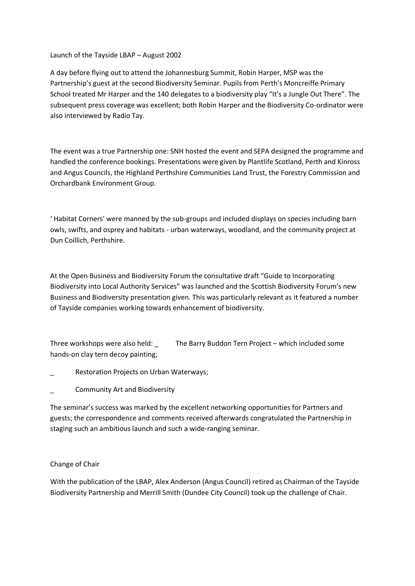Launch of the Tayside LBAP – August 2002

A day before flying out to attend the Johannesburg Summit, Robin Harper, MSP was the Partnership's guest at the second Biodiversity Seminar. Pupils from Perth's Moncreiffe Primary School treated Mr Harper and the 140 delegates to a biodiversity play "It's a Jungle Out There". The subsequent press coverage was excellent; both Robin Harper and the Biodiversity Co-ordinator were also interviewed by Radio Tay.

The event was a true Partnership one: SNH hosted the event and SEPA designed the programme and handled the conference bookings. Presentations were given by Plantlife Scotland, Perth and Kinross and Angus Councils, the Highland Perthshire Communities Land Trust, the Forestry Commission and Orchardbank Environment Group.

' Habitat Corners' were manned by the sub-groups and included displays on species including barn owls, swifts, and osprey and habitats - urban waterways, woodland, and the community project at Dun Coillich, Perthshire.

At the Open Business and Biodiversity Forum the consultative draft "Guide to Incorporating Biodiversity into Local Authority Services" was launched and the Scottish Biodiversity Forum's new Business and Biodiversity presentation given. This was particularly relevant as it featured a number of Tayside companies working towards enhancement of biodiversity.

Three workshops were also held: \_ The Barry Buddon Tern Project – which included some hands-on clay tern decoy painting;

- Restoration Projects on Urban Waterways;
- \_ Community Art and Biodiversity

The seminar's success was marked by the excellent networking opportunities for Partners and guests; the correspondence and comments received afterwards congratulated the Partnership in staging such an ambitious launch and such a wide-ranging seminar.

# Change of Chair

With the publication of the LBAP, Alex Anderson (Angus Council) retired as Chairman of the Tayside Biodiversity Partnership and Merrill Smith (Dundee City Council) took up the challenge of Chair.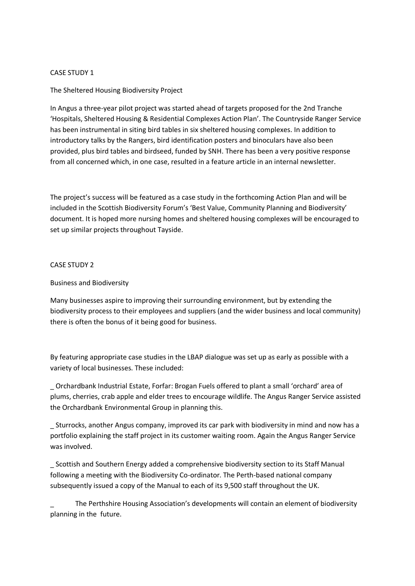# CASE STUDY 1

# The Sheltered Housing Biodiversity Project

In Angus a three-year pilot project was started ahead of targets proposed for the 2nd Tranche 'Hospitals, Sheltered Housing & Residential Complexes Action Plan'. The Countryside Ranger Service has been instrumental in siting bird tables in six sheltered housing complexes. In addition to introductory talks by the Rangers, bird identification posters and binoculars have also been provided, plus bird tables and birdseed, funded by SNH. There has been a very positive response from all concerned which, in one case, resulted in a feature article in an internal newsletter.

The project's success will be featured as a case study in the forthcoming Action Plan and will be included in the Scottish Biodiversity Forum's 'Best Value, Community Planning and Biodiversity' document. It is hoped more nursing homes and sheltered housing complexes will be encouraged to set up similar projects throughout Tayside.

# CASE STUDY 2

# Business and Biodiversity

Many businesses aspire to improving their surrounding environment, but by extending the biodiversity process to their employees and suppliers (and the wider business and local community) there is often the bonus of it being good for business.

By featuring appropriate case studies in the LBAP dialogue was set up as early as possible with a variety of local businesses. These included:

\_ Orchardbank Industrial Estate, Forfar: Brogan Fuels offered to plant a small 'orchard' area of plums, cherries, crab apple and elder trees to encourage wildlife. The Angus Ranger Service assisted the Orchardbank Environmental Group in planning this.

\_ Sturrocks, another Angus company, improved its car park with biodiversity in mind and now has a portfolio explaining the staff project in its customer waiting room. Again the Angus Ranger Service was involved.

\_ Scottish and Southern Energy added a comprehensive biodiversity section to its Staff Manual following a meeting with the Biodiversity Co-ordinator. The Perth-based national company subsequently issued a copy of the Manual to each of its 9,500 staff throughout the UK.

\_ The Perthshire Housing Association's developments will contain an element of biodiversity planning in the future.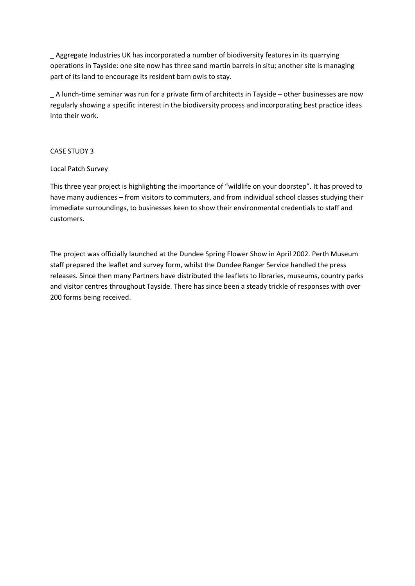\_ Aggregate Industries UK has incorporated a number of biodiversity features in its quarrying operations in Tayside: one site now has three sand martin barrels in situ; another site is managing part of its land to encourage its resident barn owls to stay.

\_ A lunch-time seminar was run for a private firm of architects in Tayside – other businesses are now regularly showing a specific interest in the biodiversity process and incorporating best practice ideas into their work.

# CASE STUDY 3

# Local Patch Survey

This three year project is highlighting the importance of "wildlife on your doorstep". It has proved to have many audiences – from visitors to commuters, and from individual school classes studying their immediate surroundings, to businesses keen to show their environmental credentials to staff and customers.

The project was officially launched at the Dundee Spring Flower Show in April 2002. Perth Museum staff prepared the leaflet and survey form, whilst the Dundee Ranger Service handled the press releases. Since then many Partners have distributed the leaflets to libraries, museums, country parks and visitor centres throughout Tayside. There has since been a steady trickle of responses with over 200 forms being received.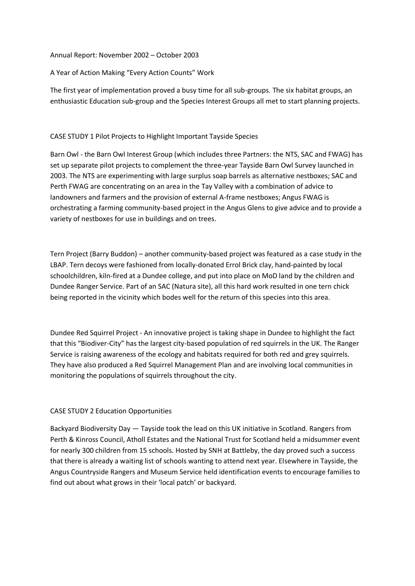# Annual Report: November 2002 – October 2003

# A Year of Action Making "Every Action Counts" Work

The first year of implementation proved a busy time for all sub-groups. The six habitat groups, an enthusiastic Education sub-group and the Species Interest Groups all met to start planning projects.

# CASE STUDY 1 Pilot Projects to Highlight Important Tayside Species

Barn Owl - the Barn Owl Interest Group (which includes three Partners: the NTS, SAC and FWAG) has set up separate pilot projects to complement the three-year Tayside Barn Owl Survey launched in 2003. The NTS are experimenting with large surplus soap barrels as alternative nestboxes; SAC and Perth FWAG are concentrating on an area in the Tay Valley with a combination of advice to landowners and farmers and the provision of external A-frame nestboxes; Angus FWAG is orchestrating a farming community-based project in the Angus Glens to give advice and to provide a variety of nestboxes for use in buildings and on trees.

Tern Project (Barry Buddon) – another community-based project was featured as a case study in the LBAP. Tern decoys were fashioned from locally-donated Errol Brick clay, hand-painted by local schoolchildren, kiln-fired at a Dundee college, and put into place on MoD land by the children and Dundee Ranger Service. Part of an SAC (Natura site), all this hard work resulted in one tern chick being reported in the vicinity which bodes well for the return of this species into this area.

Dundee Red Squirrel Project - An innovative project is taking shape in Dundee to highlight the fact that this "Biodiver-City" has the largest city-based population of red squirrels in the UK. The Ranger Service is raising awareness of the ecology and habitats required for both red and grey squirrels. They have also produced a Red Squirrel Management Plan and are involving local communities in monitoring the populations of squirrels throughout the city.

# CASE STUDY 2 Education Opportunities

Backyard Biodiversity Day — Tayside took the lead on this UK initiative in Scotland. Rangers from Perth & Kinross Council, Atholl Estates and the National Trust for Scotland held a midsummer event for nearly 300 children from 15 schools. Hosted by SNH at Battleby, the day proved such a success that there is already a waiting list of schools wanting to attend next year. Elsewhere in Tayside, the Angus Countryside Rangers and Museum Service held identification events to encourage families to find out about what grows in their 'local patch' or backyard.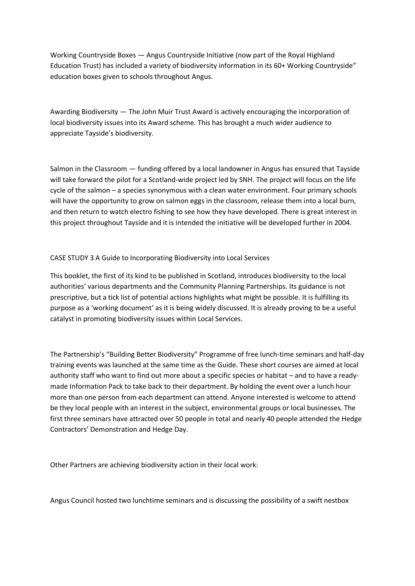Working Countryside Boxes — Angus Countryside Initiative (now part of the Royal Highland Education Trust) has included a variety of biodiversity information in its 60+ Working Countryside" education boxes given to schools throughout Angus.

Awarding Biodiversity — The John Muir Trust Award is actively encouraging the incorporation of local biodiversity issues into its Award scheme. This has brought a much wider audience to appreciate Tayside's biodiversity.

Salmon in the Classroom — funding offered by a local landowner in Angus has ensured that Tayside will take forward the pilot for a Scotland-wide project led by SNH. The project will focus on the life cycle of the salmon – a species synonymous with a clean water environment. Four primary schools will have the opportunity to grow on salmon eggs in the classroom, release them into a local burn, and then return to watch electro fishing to see how they have developed. There is great interest in this project throughout Tayside and it is intended the initiative will be developed further in 2004.

# CASE STUDY 3 A Guide to Incorporating Biodiversity into Local Services

This booklet, the first of its kind to be published in Scotland, introduces biodiversity to the local authorities' various departments and the Community Planning Partnerships. Its guidance is not prescriptive, but a tick list of potential actions highlights what might be possible. It is fulfilling its purpose as a 'working document' as it is being widely discussed. It is already proving to be a useful catalyst in promoting biodiversity issues within Local Services.

The Partnership's "Building Better Biodiversity" Programme of free lunch-time seminars and half-day training events was launched at the same time as the Guide. These short courses are aimed at local authority staff who want to find out more about a specific species or habitat – and to have a readymade Information Pack to take back to their department. By holding the event over a lunch hour more than one person from each department can attend. Anyone interested is welcome to attend be they local people with an interest in the subject, environmental groups or local businesses. The first three seminars have attracted over 50 people in total and nearly 40 people attended the Hedge Contractors' Demonstration and Hedge Day.

Other Partners are achieving biodiversity action in their local work:

Angus Council hosted two lunchtime seminars and is discussing the possibility of a swift nestbox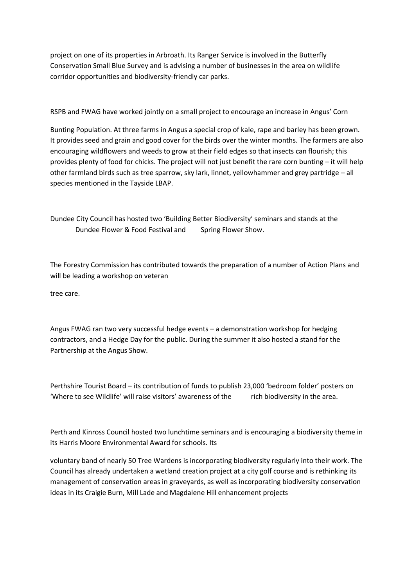project on one of its properties in Arbroath. Its Ranger Service is involved in the Butterfly Conservation Small Blue Survey and is advising a number of businesses in the area on wildlife corridor opportunities and biodiversity-friendly car parks.

RSPB and FWAG have worked jointly on a small project to encourage an increase in Angus' Corn

Bunting Population. At three farms in Angus a special crop of kale, rape and barley has been grown. It provides seed and grain and good cover for the birds over the winter months. The farmers are also encouraging wildflowers and weeds to grow at their field edges so that insects can flourish; this provides plenty of food for chicks. The project will not just benefit the rare corn bunting – it will help other farmland birds such as tree sparrow, sky lark, linnet, yellowhammer and grey partridge – all species mentioned in the Tayside LBAP.

Dundee City Council has hosted two 'Building Better Biodiversity' seminars and stands at the Dundee Flower & Food Festival and Spring Flower Show.

The Forestry Commission has contributed towards the preparation of a number of Action Plans and will be leading a workshop on veteran

tree care.

Angus FWAG ran two very successful hedge events – a demonstration workshop for hedging contractors, and a Hedge Day for the public. During the summer it also hosted a stand for the Partnership at the Angus Show.

Perthshire Tourist Board – its contribution of funds to publish 23,000 'bedroom folder' posters on 'Where to see Wildlife' will raise visitors' awareness of the rich biodiversity in the area.

Perth and Kinross Council hosted two lunchtime seminars and is encouraging a biodiversity theme in its Harris Moore Environmental Award for schools. Its

voluntary band of nearly 50 Tree Wardens is incorporating biodiversity regularly into their work. The Council has already undertaken a wetland creation project at a city golf course and is rethinking its management of conservation areas in graveyards, as well as incorporating biodiversity conservation ideas in its Craigie Burn, Mill Lade and Magdalene Hill enhancement projects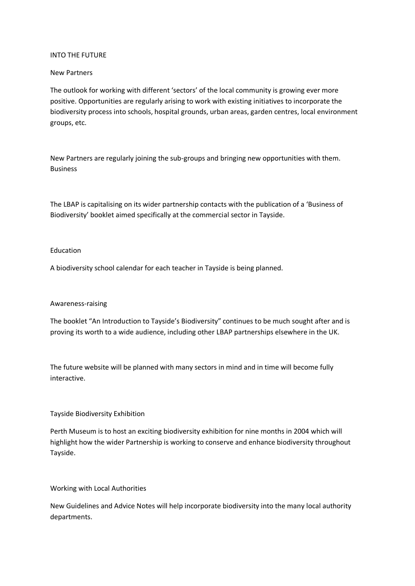#### INTO THE FUTURE

### New Partners

The outlook for working with different 'sectors' of the local community is growing ever more positive. Opportunities are regularly arising to work with existing initiatives to incorporate the biodiversity process into schools, hospital grounds, urban areas, garden centres, local environment groups, etc.

New Partners are regularly joining the sub-groups and bringing new opportunities with them. Business

The LBAP is capitalising on its wider partnership contacts with the publication of a 'Business of Biodiversity' booklet aimed specifically at the commercial sector in Tayside.

#### Education

A biodiversity school calendar for each teacher in Tayside is being planned.

#### Awareness-raising

The booklet "An Introduction to Tayside's Biodiversity" continues to be much sought after and is proving its worth to a wide audience, including other LBAP partnerships elsewhere in the UK.

The future website will be planned with many sectors in mind and in time will become fully interactive.

# Tayside Biodiversity Exhibition

Perth Museum is to host an exciting biodiversity exhibition for nine months in 2004 which will highlight how the wider Partnership is working to conserve and enhance biodiversity throughout Tayside.

Working with Local Authorities

New Guidelines and Advice Notes will help incorporate biodiversity into the many local authority departments.